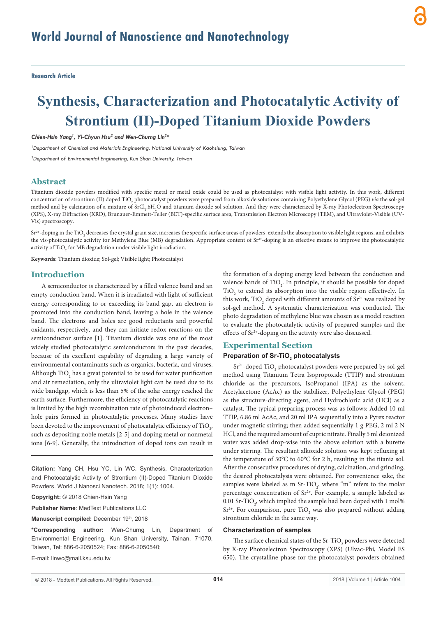**Research Article**

# **Synthesis, Characterization and Photocatalytic Activity of Strontium (II)-Doped Titanium Dioxide Powders**

*Chien-Hsin Yang1 , Yi-Chyun Hsu2 and Wen-Churng Lin2 \**

*1 Department of Chemical and Materials Engineering, National University of Kaohsiung, Taiwan*

*2 Department of Environmental Engineering, Kun Shan University, Taiwan*

#### **Abstract**

Titanium dioxide powders modified with specific metal or metal oxide could be used as photocatalyst with visible light activity. In this work, different concentration of strontium (II) doped TiO<sub>2</sub> photocatalyst powders were prepared from alkoxide solutions containing Polyethylene Glycol (PEG) *via* the sol-gel method and by calcination of a mixture of SrCl<sub>2</sub>.6H<sub>2</sub>O and titanium dioxide sol solution. And they were characterized by X-ray Photoelectron Spectroscopy (XPS), X-ray Diffraction (XRD), Brunauer-Emmett-Teller (BET)-specific surface area, Transmission Electron Microscopy (TEM), and Ultraviolet-Visible (UV-Vis) spectroscopy.

 $\mathrm{Sr^{2+}}$ -doping in the TiO $_2$  decreases the crystal grain size, increases the specific surface areas of powders, extends the absorption to visible light regions, and exhibits the vis-photocatalytic activity for Methylene Blue (MB) degradation. Appropriate content of  $Sr^{2+}$ -doping is an effective means to improve the photocatalytic activity of  $\rm TiO_2$  for MB degradation under visible light irradiation.

**Keywords:** Titanium dioxide; Sol-gel; Visible light; Photocatalyst

#### **Introduction**

A semiconductor is characterized by a filled valence band and an empty conduction band. When it is irradiated with light of sufficient energy corresponding to or exceeding its band gap, an electron is promoted into the conduction band, leaving a hole in the valence band. The electrons and holes are good reductants and powerful oxidants, respectively, and they can initiate redox reactions on the semiconductor surface [1]. Titanium dioxide was one of the most widely studied photocatalytic semiconductors in the past decades, because of its excellent capability of degrading a large variety of environmental contaminants such as organics, bacteria, and viruses. Although  $\rm TiO_2$  has a great potential to be used for water purification and air remediation, only the ultraviolet light can be used due to its wide bandgap, which is less than 5% of the solar energy reached the earth surface. Furthermore, the efficiency of photocatalytic reactions is limited by the high recombination rate of photoinduced electron– hole pairs formed in photocatalytic processes. Many studies have been devoted to the improvement of photocatalytic efficiency of  $\rm TiO_{2^2}$ such as depositing noble metals [2-5] and doping metal or nonmetal ions [6-9]. Generally, the introduction of doped ions can result in

**Citation:** Yang CH, Hsu YC, Lin WC. Synthesis, Characterization and Photocatalytic Activity of Strontium (II)-Doped Titanium Dioxide Powders. World J Nanosci Nanotech. 2018; 1(1): 1004.

**Copyright:** © 2018 Chien-Hsin Yang

**Publisher Name**: MedText Publications LLC

**Manuscript compiled: December 19th, 2018** 

**\*Corresponding author:** Wen-Churng Lin, Department of Environmental Engineering, Kun Shan University, Tainan, 71070, Taiwan, Tel: 886-6-2050524; Fax: 886-6-2050540;

E-mail: linwc@mail.ksu.edu.tw

the formation of a doping energy level between the conduction and valence bands of  $TiO<sub>2</sub>$ . In principle, it should be possible for doped  $TiO<sub>2</sub>$  to extend its absorption into the visible region effectively. In this work,  $TiO_2$  doped with different amounts of  $Sr^{2+}$  was realized by sol-gel method. A systematic characterization was conducted. The photo degradation of methylene blue was chosen as a model reaction to evaluate the photocatalytic activity of prepared samples and the effects of Sr<sup>2+</sup>-doping on the activity were also discussed.

#### **Experimental Section**

#### **Preparation of Sr-TiO2 photocatalysts**

 $\rm Sr^{2+}$ -doped  $\rm TiO_2$  photocatalyst powders were prepared by sol-gel method using Titanium Tetra Isopropoxide (TTIP) and strontium chloride as the precursors, IsoPropanol (IPA) as the solvent, Acetylacetone (AcAc) as the stabilizer, Polyethylene Glycol (PEG) as the structure-directing agent, and Hydrochloric acid (HCl) as a catalyst. The typical preparing process was as follows: Added 10 ml TTIP, 6.86 ml AcAc, and 20 ml IPA sequentially into a Pyrex reactor under magnetic stirring; then added sequentially 1 g PEG, 2 ml 2 N HCl, and the required amount of cupric nitrate. Finally 5 ml deionized water was added drop-wise into the above solution with a burette under stirring. The resultant alkoxide solution was kept refluxing at the temperature of 50°C to 60°C for 2 h, resulting in the titania sol. After the consecutive procedures of drying, calcination, and grinding, the desired photocatalysis were obtained. For convenience sake, the samples were labeled as m  $Sr-TiO<sub>2</sub>$ , where "m" refers to the molar percentage concentration of  $Sr^{2+}$ . For example, a sample labeled as 0.01 Sr-TiO<sub>2</sub>, which implied the sample had been doped with 1 mol%  $Sr<sup>2+</sup>$ . For comparison, pure TiO<sub>2</sub> was also prepared without adding strontium chloride in the same way.

#### **Characterization of samples**

The surface chemical states of the Sr-TiO<sub>2</sub> powders were detected by X-ray Photoelectron Spectroscopy (XPS) (Ulvac-Phi, Model ES 650). The crystalline phase for the photocatalyst powders obtained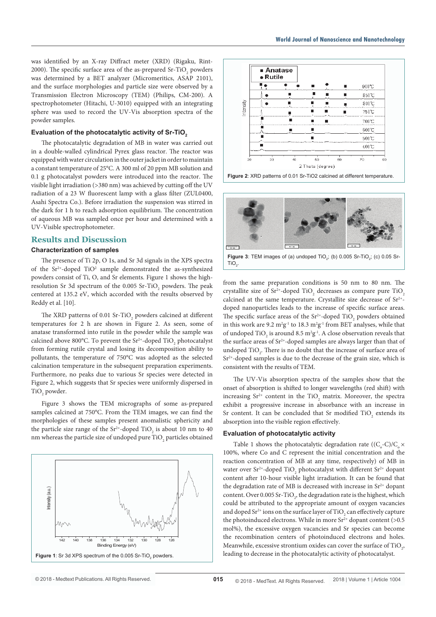was identified by an X-ray Diffract meter (XRD) (Rigaku, Rint-2000). The specific surface area of the as-prepared Sr-TiO<sub>2</sub> powders was determined by a BET analyzer (Micromeritics, ASAP 2101), and the surface morphologies and particle size were observed by a Transmission Electron Microscopy (TEM) (Philips, CM-200). A spectrophotometer (Hitachi, U-3010) equipped with an integrating sphere was used to record the UV-Vis absorption spectra of the powder samples.

#### Evaluation of the photocatalytic activity of Sr-TiO<sub>2</sub>

The photocatalytic degradation of MB in water was carried out in a double-walled cylindrical Pyrex glass reactor. The reactor was equipped with water circulation in the outer jacket in order to maintain a constant temperature of 25°C. A 300 ml of 20 ppm MB solution and 0.1 g photocatalyst powders were introduced into the reactor. The visible light irradiation (>380 nm) was achieved by cutting off the UV radiation of a 23 W fluorescent lamp with a glass filter (ZUL0400, Asahi Spectra Co.). Before irradiation the suspension was stirred in the dark for 1 h to reach adsorption equilibrium. The concentration of aqueous MB was sampled once per hour and determined with a UV-Visible spectrophotometer.

### **Results and Discussion**

#### **Characterization of samples**

The presence of Ti 2p, O 1s, and Sr 3d signals in the XPS spectra of the  $Sr^{2+}$ -doped TiO<sup>2</sup> sample demonstrated the as-synthesized powders consist of Ti, O, and Sr elements. Figure 1 shows the highresolution Sr 3d spectrum of the 0.005 Sr-TiO<sub>2</sub> powders. The peak centered at 135.2 eV, which accorded with the results observed by Reddy et al. [10].

The XRD patterns of 0.01 Sr-TiO<sub>2</sub> powders calcined at different temperatures for 2 h are shown in Figure 2. As seen, some of anatase transformed into rutile in the powder while the sample was calcined above 800°C. To prevent the Sr<sup>2+</sup>-doped TiO<sub>2</sub> photocatalyst from forming rutile crystal and losing its decomposition ability to pollutants, the temperature of 750°C was adopted as the selected calcination temperature in the subsequent preparation experiments. Furthermore, no peaks due to various Sr species were detected in Figure 2, which suggests that Sr species were uniformly dispersed in TiO<sub>2</sub> powder.

Figure 3 shows the TEM micrographs of some as-prepared samples calcined at 750°C. From the TEM images, we can find the morphologies of these samples present anomalistic sphericity and the particle size range of the  $\text{Sr}^{2+}\text{-doped TiO}_2$  is about 10 nm to 40 nm whereas the particle size of undoped pure  $\rm TiO_2$  particles obtained









**Figure 3**: TEM images of (a) undoped  $TiO<sub>2</sub>$ ; (b) 0.005 Sr-TiO<sub>2</sub>; (c) 0.05 Sr- $TiO<sub>2</sub>$ .

from the same preparation conditions is 50 nm to 80 nm. The crystallite size of  $Sr^{2+}$ -doped TiO<sub>2</sub> decreases as compare pure TiO<sub>2</sub> calcined at the same temperature. Crystallite size decrease of  $Sr^{2+}$ doped nanoparticles leads to the increase of specific surface areas. The specific surface areas of the  $\text{Sr}^{2+}\text{-doped TiO}_2$  powders obtained in this work are 9.2  $m^2g^{-1}$  to 18.3  $m^2g^{-1}$  from BET analyses, while that of undoped  $\rm TiO_2$  is around 8.5  $\rm m^2 g^{\text{-}l}.$  A close observation reveals that the surface areas of  $Sr^{2+}$ -doped samples are always larger than that of undoped  $TiO_2$ . There is no doubt that the increase of surface area of  $Sr<sup>2+</sup>$ -doped samples is due to the decrease of the grain size, which is consistent with the results of TEM.

The UV-Vis absorption spectra of the samples show that the onset of absorption is shifted to longer wavelengths (red shift) with increasing  $Sr^{2+}$  content in the  $TiO_2$  matrix. Moreover, the spectra exhibit a progressive increase in absorbance with an increase in Sr content. It can be concluded that Sr modified  $TiO_2$  extends its absorption into the visible region effectively.

#### **Evaluation of photocatalytic activity**

Table 1 shows the photocatalytic degradation rate  $((C_o-C)/C_o \times$ 100%, where Co and C represent the initial concentration and the reaction concentration of MB at any time, respectively) of MB in water over  $Sr^{2+}$ -doped  $TiO_2$  photocatalyst with different  $Sr^{2+}$  dopant content after 10-hour visible light irradiation. It can be found that the degradation rate of MB is decreased with increase in  $Sr^{2+}$  dopant content. Over 0.005 Sr-TiO<sub>2</sub>, the degradation rate is the highest, which could be attributed to the appropriate amount of oxygen vacancies and doped  $\text{Sr}^{2+}$  ions on the surface layer of TiO<sub>2</sub> can effectively capture the photoinduced electrons. While in more  $Sr^{2+}$  dopant content (>0.5 mol%), the excessive oxygen vacancies and Sr species can become the recombination centers of photoinduced electrons and holes. Meanwhile, excessive strontium oxides can cover the surface of  $\text{TiO}_2$ , leading to decrease in the photocatalytic activity of photocatalyst.